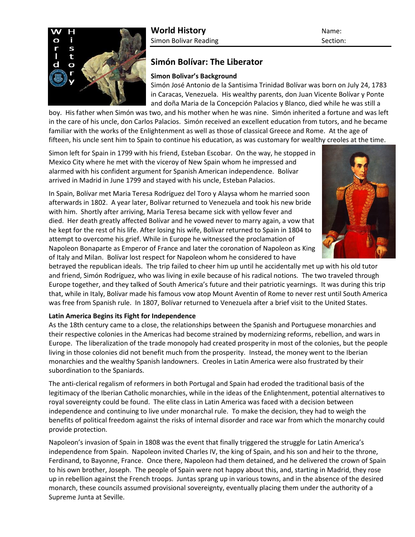

# **World History** Name:

Simon Bolivar Reading Section: Section:

# **Simón Bolívar: The Liberator**

## **Simon Bolivar's Background**

Simón José Antonio de la Santisima Trinidad Bolívar was born on July 24, 1783 in Caracas, Venezuela. His wealthy parents, don Juan Vicente Bolívar y Ponte and doña Maria de la Concepción Palacios y Blanco, died while he was still a

boy. His father when Simón was two, and his mother when he was nine. Simón inherited a fortune and was left in the care of his uncle, don Carlos Palacios. Simón received an excellent education from tutors, and he became familiar with the works of the Enlightenment as well as those of classical Greece and Rome. At the age of fifteen, his uncle sent him to Spain to continue his education, as was customary for wealthy creoles at the time.

Simon left for Spain in 1799 with his friend, Esteban Escobar. On the way, he stopped in Mexico City where he met with the viceroy of New Spain whom he impressed and alarmed with his confident argument for Spanish American independence. Bolívar arrived in Madrid in June 1799 and stayed with his uncle, Esteban Palacios.

In Spain, Bolívar met Maria Teresa Rodríguez del Toro y Alaysa whom he married soon afterwards in 1802. A year later, Bolívar returned to Venezuela and took his new bride with him. Shortly after arriving, Maria Teresa became sick with yellow fever and died. Her death greatly affected Bolívar and he vowed never to marry again, a vow that he kept for the rest of his life. After losing his wife, Bolívar returned to Spain in 1804 to attempt to overcome his grief. While in Europe he witnessed the proclamation of Napoleon Bonaparte as Emperor of France and later the coronation of Napoleon as King of Italy and Milan. Bolívar lost respect for Napoleon whom he considered to have



betrayed the republican ideals. The trip failed to cheer him up until he accidentally met up with his old tutor and friend, Simón Rodríguez, who was living in exile because of his radical notions. The two traveled through Europe together, and they talked of South America's future and their patriotic yearnings. It was during this trip that, while in Italy, Bolívar made his famous vow atop Mount Aventin of Rome to never rest until South America was free from Spanish rule. In 1807, Bolívar returned to Venezuela after a brief visit to the United States.

### **Latin America Begins its Fight for Independence**

As the 18th century came to a close, the relationships between the Spanish and Portuguese monarchies and their respective colonies in the Americas had become strained by modernizing reforms, rebellion, and wars in Europe. The liberalization of the trade monopoly had created prosperity in most of the colonies, but the people living in those colonies did not benefit much from the prosperity. Instead, the money went to the Iberian monarchies and the wealthy Spanish landowners. Creoles in Latin America were also frustrated by their subordination to the Spaniards.

The anti-clerical regalism of reformers in both Portugal and Spain had eroded the traditional basis of the legitimacy of the Iberian Catholic monarchies, while in the ideas of the Enlightenment, potential alternatives to royal sovereignty could be found. The elite class in Latin America was faced with a decision between independence and continuing to live under monarchal rule. To make the decision, they had to weigh the benefits of political freedom against the risks of internal disorder and race war from which the monarchy could provide protection.

Napoleon's invasion of Spain in 1808 was the event that finally triggered the struggle for Latin America's independence from Spain. Napoleon invited Charles IV, the king of Spain, and his son and heir to the throne, Ferdinand, to Bayonne, France. Once there, Napoleon had them detained, and he delivered the crown of Spain to his own brother, Joseph. The people of Spain were not happy about this, and, starting in Madrid, they rose up in rebellion against the French troops. Juntas sprang up in various towns, and in the absence of the desired monarch, these councils assumed provisional sovereignty, eventually placing them under the authority of a Supreme Junta at Seville.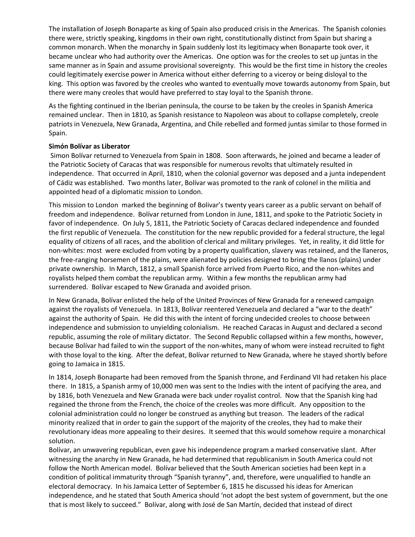The installation of Joseph Bonaparte as king of Spain also produced crisis in the Americas. The Spanish colonies there were, strictly speaking, kingdoms in their own right, constitutionally distinct from Spain but sharing a common monarch. When the monarchy in Spain suddenly lost its legitimacy when Bonaparte took over, it became unclear who had authority over the Americas. One option was for the creoles to set up juntas in the same manner as in Spain and assume provisional sovereignty. This would be the first time in history the creoles could legitimately exercise power in America without either deferring to a viceroy or being disloyal to the king. This option was favored by the creoles who wanted to eventually move towards autonomy from Spain, but there were many creoles that would have preferred to stay loyal to the Spanish throne.

As the fighting continued in the Iberian peninsula, the course to be taken by the creoles in Spanish America remained unclear. Then in 1810, as Spanish resistance to Napoleon was about to collapse completely, creole patriots in Venezuela, New Granada, Argentina, and Chile rebelled and formed juntas similar to those formed in Spain.

#### **Simón Bolívar as Liberator**

Simon Bolívar returned to Venezuela from Spain in 1808. Soon afterwards, he joined and became a leader of the Patriotic Society of Caracas that was responsible for numerous revolts that ultimately resulted in independence. That occurred in April, 1810, when the colonial governor was deposed and a junta independent of Cádiz was established. Two months later, Bolívar was promoted to the rank of colonel in the militia and appointed head of a diplomatic mission to London.

This mission to London marked the beginning of Bolivar's twenty years career as a public servant on behalf of freedom and independence. Bolívar returned from London in June, 1811, and spoke to the Patriotic Society in favor of independence. On July 5, 1811, the Patriotic Society of Caracas declared independence and founded the first republic of Venezuela. The constitution for the new republic provided for a federal structure, the legal equality of citizens of all races, and the abolition of clerical and military privileges. Yet, in reality, it did little for non-whites: most were excluded from voting by a property qualification, slavery was retained, and the llaneros, the free-ranging horsemen of the plains, were alienated by policies designed to bring the llanos (plains) under private ownership. In March, 1812, a small Spanish force arrived from Puerto Rico, and the non-whites and royalists helped them combat the republican army. Within a few months the republican army had surrendered. Bolívar escaped to New Granada and avoided prison.

In New Granada, Bolívar enlisted the help of the United Provinces of New Granada for a renewed campaign against the royalists of Venezuela. In 1813, Bolívar reentered Venezuela and declared a "war to the death" against the authority of Spain. He did this with the intent of forcing undecided creoles to choose between independence and submission to unyielding colonialism. He reached Caracas in August and declared a second republic, assuming the role of military dictator. The Second Republic collapsed within a few months, however, because Bolívar had failed to win the support of the non-whites, many of whom were instead recruited to fight with those loyal to the king. After the defeat, Bolívar returned to New Granada, where he stayed shortly before going to Jamaica in 1815.

In 1814, Joseph Bonaparte had been removed from the Spanish throne, and Ferdinand VII had retaken his place there. In 1815, a Spanish army of 10,000 men was sent to the Indies with the intent of pacifying the area, and by 1816, both Venezuela and New Granada were back under royalist control. Now that the Spanish king had regained the throne from the French, the choice of the creoles was more difficult. Any opposition to the colonial administration could no longer be construed as anything but treason. The leaders of the radical minority realized that in order to gain the support of the majority of the creoles, they had to make their revolutionary ideas more appealing to their desires. It seemed that this would somehow require a monarchical solution.

Bolívar, an unwavering republican, even gave his independence program a marked conservative slant. After witnessing the anarchy in New Granada, he had determined that republicanism in South America could not follow the North American model. Bolívar believed that the South American societies had been kept in a condition of political immaturity through "Spanish tyranny", and, therefore, were unqualified to handle an electoral democracy. In his Jamaica Letter of September 6, 1815 he discussed his ideas for American independence, and he stated that South America should 'not adopt the best system of government, but the one that is most likely to succeed." Bolívar, along with José de San Martín, decided that instead of direct